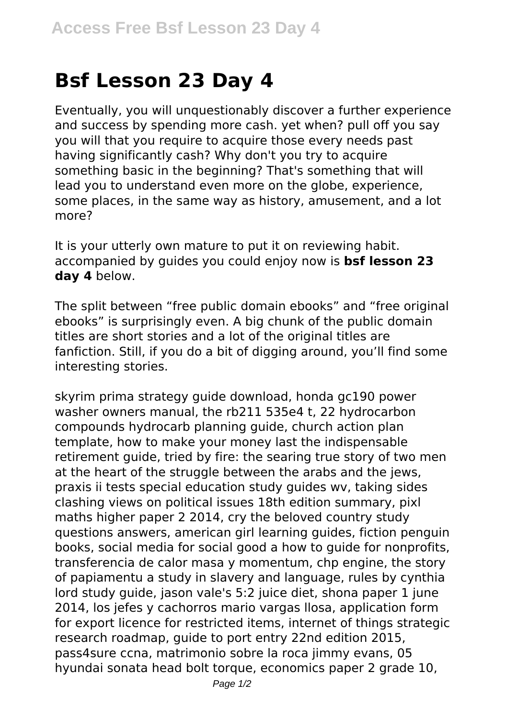## **Bsf Lesson 23 Day 4**

Eventually, you will unquestionably discover a further experience and success by spending more cash. yet when? pull off you say you will that you require to acquire those every needs past having significantly cash? Why don't you try to acquire something basic in the beginning? That's something that will lead you to understand even more on the globe, experience, some places, in the same way as history, amusement, and a lot more?

It is your utterly own mature to put it on reviewing habit. accompanied by guides you could enjoy now is **bsf lesson 23 day 4** below.

The split between "free public domain ebooks" and "free original ebooks" is surprisingly even. A big chunk of the public domain titles are short stories and a lot of the original titles are fanfiction. Still, if you do a bit of digging around, you'll find some interesting stories.

skyrim prima strategy guide download, honda gc190 power washer owners manual, the rb211 535e4 t, 22 hydrocarbon compounds hydrocarb planning guide, church action plan template, how to make your money last the indispensable retirement guide, tried by fire: the searing true story of two men at the heart of the struggle between the arabs and the jews, praxis ii tests special education study guides wv, taking sides clashing views on political issues 18th edition summary, pixl maths higher paper 2 2014, cry the beloved country study questions answers, american girl learning guides, fiction penguin books, social media for social good a how to guide for nonprofits, transferencia de calor masa y momentum, chp engine, the story of papiamentu a study in slavery and language, rules by cynthia lord study guide, jason vale's 5:2 juice diet, shona paper 1 june 2014, los jefes y cachorros mario vargas llosa, application form for export licence for restricted items, internet of things strategic research roadmap, guide to port entry 22nd edition 2015, pass4sure ccna, matrimonio sobre la roca jimmy evans, 05 hyundai sonata head bolt torque, economics paper 2 grade 10,